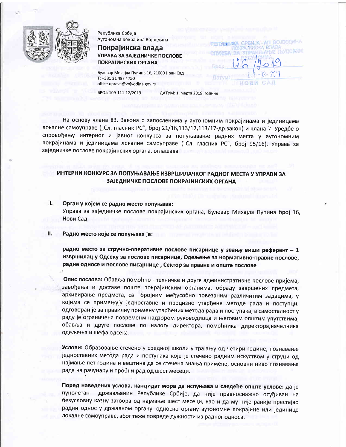

1.

Република Србија Аутономна покрајина Војводина

## Покрајинска влада УПРАВА ЗА ЗАЈЕДНИЧКЕ ПОСЛОВЕ **ПОКРАЈИНСКИХ ОРГАНА**

Булевар Михајла Пупина 16, 21000 Нови Сад T: +381 21 487 4750 office.uprava@vojvodina.gov.rs

БРОЈ: 109-111-12/2019

ДАТУМ: 1. марта 2019. године

На основу члана 83. Закона о запосленима у аутономним покрајинама и јединицама локалне самоуправе ("Сл. гласник РС", број 21/16,113/17,113/17-др.закон) и члана 7. Уредбе о спровођењу интерног и јавног конкурса за попуњавање радних места у аутономним покрајинама и јединицама локалне самоуправе ("Сл. гласник РС", број 95/16), Управа за заједничке послове покрајинских органа, оглашава

# ИНТЕРНИ КОНКУРС ЗА ПОПУЊАВАЊЕ ИЗВРШИЛАЧКОГ РАДНОГ МЕСТА У УПРАВИ ЗА ЗАЈЕДНИЧКЕ ПОСЛОВЕ ПОКРАЈИНСКИХ ОРГАНА

Орган у којем се радно место попуњава: Управа за заједничке послове покрајинских органа, Булевар Михајла Пупина број 16, Нови Сад

Ш. Радно место које се попуњава је:

> радно место за стручно-оперативне послове писарнице у звању виши референт - 1 извршилац у Одсеку за послове писарнице, Одељење за нормативно-правне послове, радне односе и послове писарнице, Сектор за правне и опште послове

> Опис послова: Обавља помоћно - техничке и друге административне послове пријема, завођења и доставе поште покрајинским органима, обраду завршених предмета, архивирање предмета, са бројним међусобно повезаним различитим задацима, у којима се примењују једноставне и прецизно утврђене методе рада и поступци, одговоран је за правилну примену утврђених метода рада и поступака, а самосталност у раду је ограничена повременм надзором руководиоца и његовим општим упутствима, обавља и друге послове по налогу директора, помоћника директора,начелника одељења и шефа одсека.

> Услови: Образовање стечено у средњој школи у трајању од четири године, познавање једноставних метода рада и поступака које је стечено радним искуством у струци од најмање пет година и вештина да се стечена знања примене, основни ниво познавања рада на рачунару и пробни рад од шест месеци.

> Поред наведених услова, кандидат мора да испуњава и следеће опште услове: да је пунолетан држављанин Републике Србије, да није правноснажно осуђиван на безусловну казну затвора од најмање шест месеци, као и да му није раније престајао радни однос у државном органу, односно органу аутономне покрајине или јединице локалне самоуправе, због теже повреде дужности из радног односа.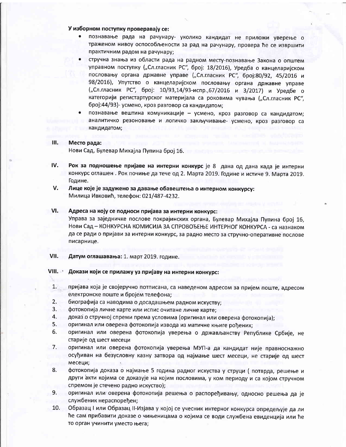### У изборном поступку проверавају се:

- познавање рада на рачунару- уколико кандидат не приложи уверење о траженом нивоу оспособљености за рад на рачунару, провера ће се извршити практичним радом на рачунару;
- стручна знања из области рада на радном месту-познавање Закона о општем управном поступку ("Сл.гласник РС", број: 18/2016), Уредба о канцеларијском пословању органа државне управе ("Сл.гласник РС", број:80/92, 45/2016 и 98/2016), Упутство о канцеларијском пословању органа државне управе ("Сл.гласник РС", број: 10/93,14/93-испр.,67/2016 и 3/2017) и Уредбе о категорији регистартурског материјала са роковима чувања ("Сл.гласник РС", број:44/93)- усмено, кроз разговор са кандидатом;
- познавање вештина комуникације усмено, кроз разговор са кандидатом; аналитичко резоновање и логичко закључивање- усмено, кроз разговор са кандидатом;

#### ilt. Место рада:

Нови Сад, Булевар Михајла Пупина број 16.

- tv. Рок за подношење пријаве на интерни конкурс је 8 дана од дана када је интерни конкурс оглашен . Рок почиње да тече од 2. Марта 2019. Године и истиче 9. Марта 2019. Године.
- Лице које је задужено за давање обавештења о интерном конкурсу: Милица Ивковић, телефон: 021/487-4232. V.

#### Адреса на коју се подноси пријава за интерни конкурс: vt.

Управа за заједничке послове покрајинских органа, Булевар Михајла Пупина број 16, Нови Сад - КОНКУРСНА КОМИСИЈА ЗА СПРОВОЂЕЊЕ ИНТЕРНОГ КОНКУРСА - са назнаком да се ради о пријави за интерни конкурс, за радно место за стручно-оперативне послове писарнице.

Датум оглашавања: 1. март 2019. године. vil.

Докази који се прилажу уз пријаву на интерни конкурс: vilt.

- пријава која је својеручно потписана, са наведеном адресом за пријем поште, адресом електронске поште и бројем телефона; L.
- биографија са наводима о досадашњем радном искуству; 2.
- фотокопија личне карте или испис очитане личне карте; 3.
- доказ о стручној спреми према условима (оригинал или оверена фотокопија); 4.
- оригинал или оверена фотокопија извода из матичне књиге рођених; 5.
- оригинал или оверена фотокопија уверења о држављанству Републике Србије, не старије од шест месеци 6.
- оригинал или оверена фотокопија уверења МУП-а да кандидат није правноснажно осуђиван на безусловну казну затвора од најмање шест месеци, не старије од шест месеци; 7.
- фотокопија доказа о најмање 5 година радног искуства у струци ( потврда, решење и други акти којима се доказује на којим пословима, у ком периоду и са којом стручном спремом је стечено радно искуство); 8-
- оригинал или оверена фотокопија решења о распоређивању, односно решења да је службеник нераспоређен; 9.
- Образац I или Образац II-Изјава у којој се учесник интерног конкурса опредељује да ли he сам прибавити доказе о чињеницама о којима се води службена евиденција или he то орган учинити уместо њега; 10.